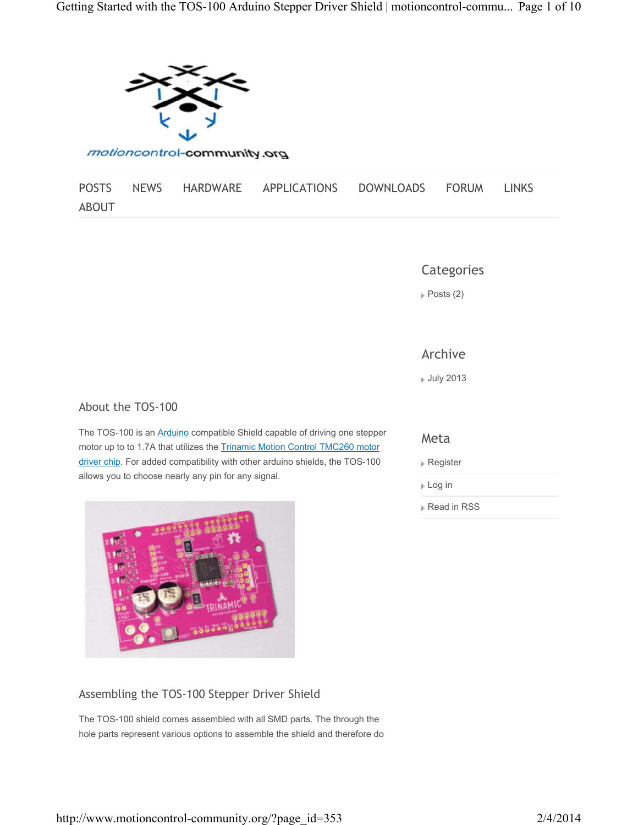

motioncontrol-community.org

|              |  | POSTS NEWS HARDWARE APPLICATIONS DOWNLOADS FORUM LINKS |  |  |
|--------------|--|--------------------------------------------------------|--|--|
| <b>ABOUT</b> |  |                                                        |  |  |

**Categories** 

 $\triangleright$  Posts (2)

## Archive

July 2013

### About the TOS-100

The TOS-100 is an **Arduino** compatible Shield capable of driving one stepper motor up to to 1.7A that utilizes the Trinamic Motion Control TMC260 motor driver chip. For added compatibility with other arduino shields, the TOS-100 allows you to choose nearly any pin for any signal.



## Assembling the TOS-100 Stepper Driver Shield

The TOS-100 shield comes assembled with all SMD parts. The through the hole parts represent various options to assemble the shield and therefore do

## Meta

- Register
- Log in
- **Read in RSS**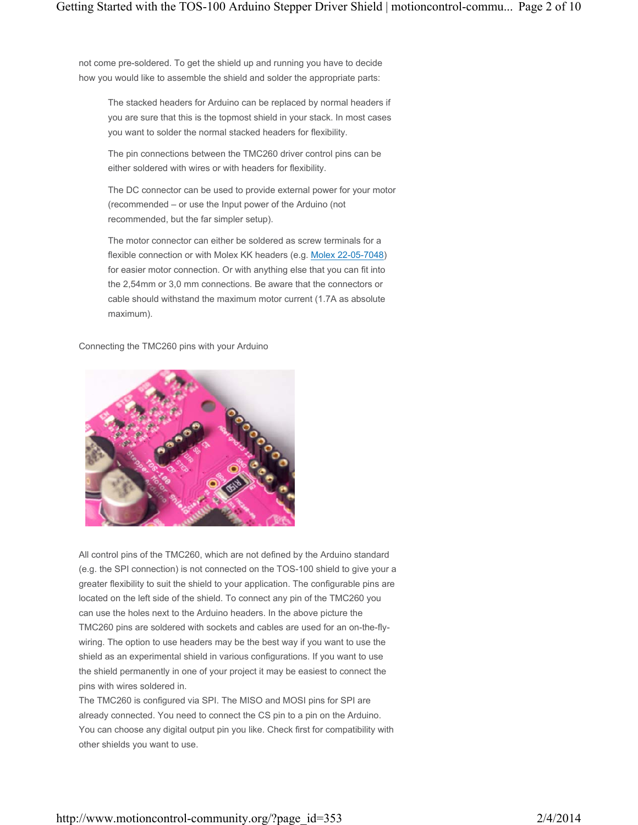not come pre-soldered. To get the shield up and running you have to decide how you would like to assemble the shield and solder the appropriate parts:

The stacked headers for Arduino can be replaced by normal headers if you are sure that this is the topmost shield in your stack. In most cases you want to solder the normal stacked headers for flexibility.

The pin connections between the TMC260 driver control pins can be either soldered with wires or with headers for flexibility.

The DC connector can be used to provide external power for your motor (recommended – or use the Input power of the Arduino (not recommended, but the far simpler setup).

The motor connector can either be soldered as screw terminals for a flexible connection or with Molex KK headers (e.g. Molex 22-05-7048) for easier motor connection. Or with anything else that you can fit into the 2,54mm or 3,0 mm connections. Be aware that the connectors or cable should withstand the maximum motor current (1.7A as absolute maximum).

Connecting the TMC260 pins with your Arduino



All control pins of the TMC260, which are not defined by the Arduino standard (e.g. the SPI connection) is not connected on the TOS-100 shield to give your a greater flexibility to suit the shield to your application. The configurable pins are located on the left side of the shield. To connect any pin of the TMC260 you can use the holes next to the Arduino headers. In the above picture the TMC260 pins are soldered with sockets and cables are used for an on-the-flywiring. The option to use headers may be the best way if you want to use the shield as an experimental shield in various configurations. If you want to use the shield permanently in one of your project it may be easiest to connect the pins with wires soldered in.

The TMC260 is configured via SPI. The MISO and MOSI pins for SPI are already connected. You need to connect the CS pin to a pin on the Arduino. You can choose any digital output pin you like. Check first for compatibility with other shields you want to use.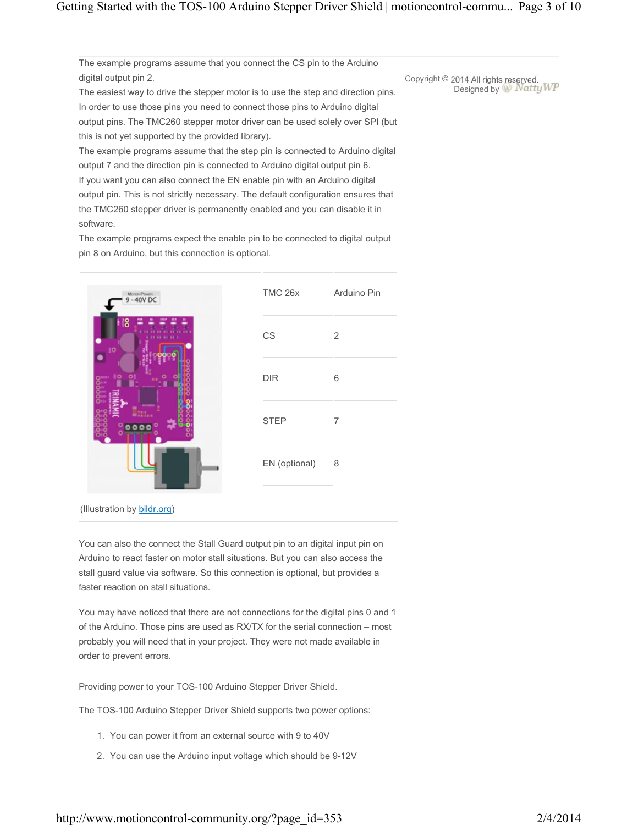The example programs assume that you connect the CS pin to the Arduino digital output pin 2.

The easiest way to drive the stepper motor is to use the step and direction pins. In order to use those pins you need to connect those pins to Arduino digital output pins. The TMC260 stepper motor driver can be used solely over SPI (but this is not yet supported by the provided library).

The example programs assume that the step pin is connected to Arduino digital output 7 and the direction pin is connected to Arduino digital output pin 6. If you want you can also connect the EN enable pin with an Arduino digital output pin. This is not strictly necessary. The default configuration ensures that the TMC260 stepper driver is permanently enabled and you can disable it in software.

The example programs expect the enable pin to be connected to digital output pin 8 on Arduino, but this connection is optional.



(Illustration by bildr.org)

You can also the connect the Stall Guard output pin to an digital input pin on Arduino to react faster on motor stall situations. But you can also access the stall guard value via software. So this connection is optional, but provides a faster reaction on stall situations.

You may have noticed that there are not connections for the digital pins 0 and 1 of the Arduino. Those pins are used as RX/TX for the serial connection – most probably you will need that in your project. They were not made available in order to prevent errors.

Providing power to your TOS-100 Arduino Stepper Driver Shield.

The TOS-100 Arduino Stepper Driver Shield supports two power options:

- 1. You can power it from an external source with 9 to 40V
- 2. You can use the Arduino input voltage which should be 9-12V

Copyright © 2014 All rights reserved. Designed by W Natty WP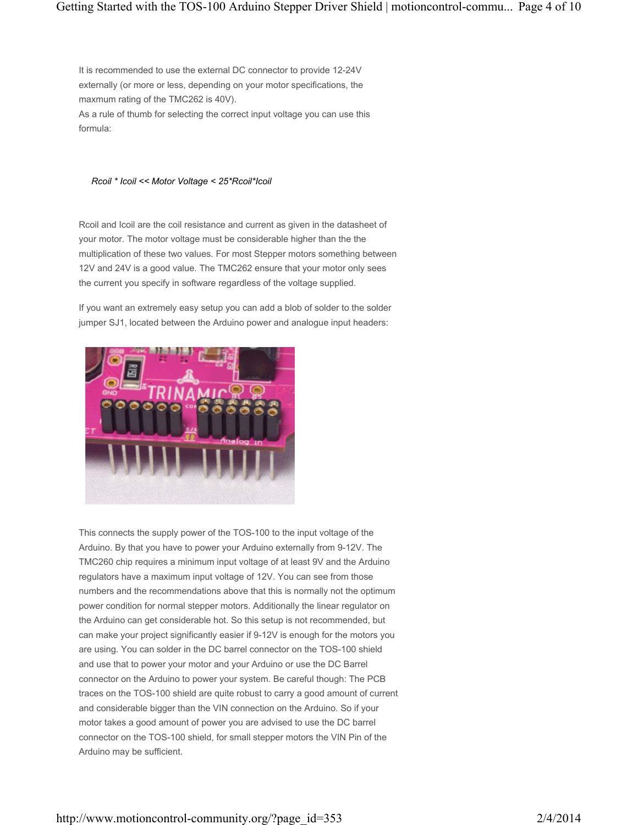It is recommended to use the external DC connector to provide 12-24V externally (or more or less, depending on your motor specifications, the maxmum rating of the TMC262 is 40V). As a rule of thumb for selecting the correct input voltage you can use this formula:

#### *Rcoil \* Icoil << Motor Voltage < 25\*Rcoil\*Icoil*

Rcoil and Icoil are the coil resistance and current as given in the datasheet of your motor. The motor voltage must be considerable higher than the the multiplication of these two values. For most Stepper motors something between 12V and 24V is a good value. The TMC262 ensure that your motor only sees the current you specify in software regardless of the voltage supplied.

If you want an extremely easy setup you can add a blob of solder to the solder jumper SJ1, located between the Arduino power and analogue input headers:



This connects the supply power of the TOS-100 to the input voltage of the Arduino. By that you have to power your Arduino externally from 9-12V. The TMC260 chip requires a minimum input voltage of at least 9V and the Arduino regulators have a maximum input voltage of 12V. You can see from those numbers and the recommendations above that this is normally not the optimum power condition for normal stepper motors. Additionally the linear regulator on the Arduino can get considerable hot. So this setup is not recommended, but can make your project significantly easier if 9-12V is enough for the motors you are using. You can solder in the DC barrel connector on the TOS-100 shield and use that to power your motor and your Arduino or use the DC Barrel connector on the Arduino to power your system. Be careful though: The PCB traces on the TOS-100 shield are quite robust to carry a good amount of current and considerable bigger than the VIN connection on the Arduino. So if your motor takes a good amount of power you are advised to use the DC barrel connector on the TOS-100 shield, for small stepper motors the VIN Pin of the Arduino may be sufficient.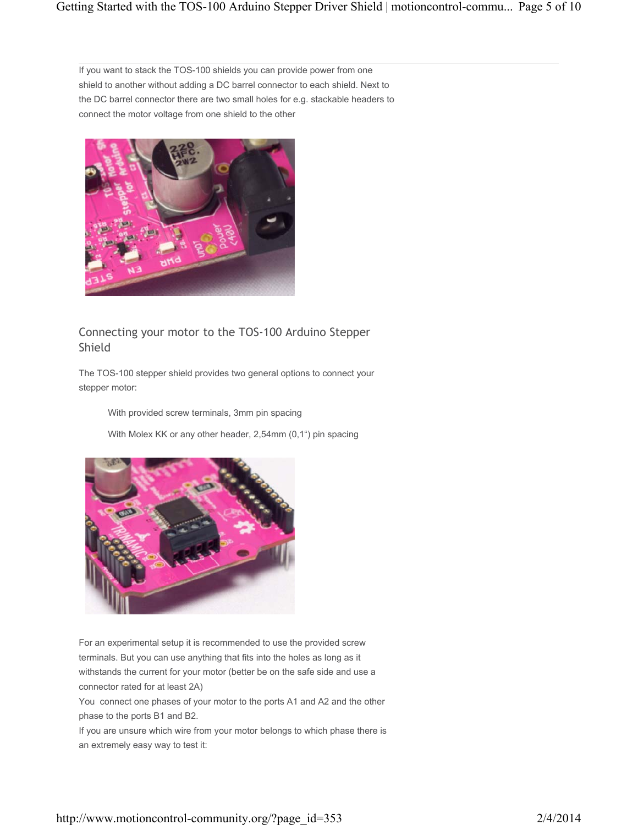If you want to stack the TOS-100 shields you can provide power from one shield to another without adding a DC barrel connector to each shield. Next to the DC barrel connector there are two small holes for e.g. stackable headers to connect the motor voltage from one shield to the other



# Connecting your motor to the TOS-100 Arduino Stepper Shield

The TOS-100 stepper shield provides two general options to connect your stepper motor:

With provided screw terminals, 3mm pin spacing

With Molex KK or any other header, 2,54mm (0,1") pin spacing



For an experimental setup it is recommended to use the provided screw terminals. But you can use anything that fits into the holes as long as it withstands the current for your motor (better be on the safe side and use a connector rated for at least 2A)

You connect one phases of your motor to the ports A1 and A2 and the other phase to the ports B1 and B2.

If you are unsure which wire from your motor belongs to which phase there is an extremely easy way to test it: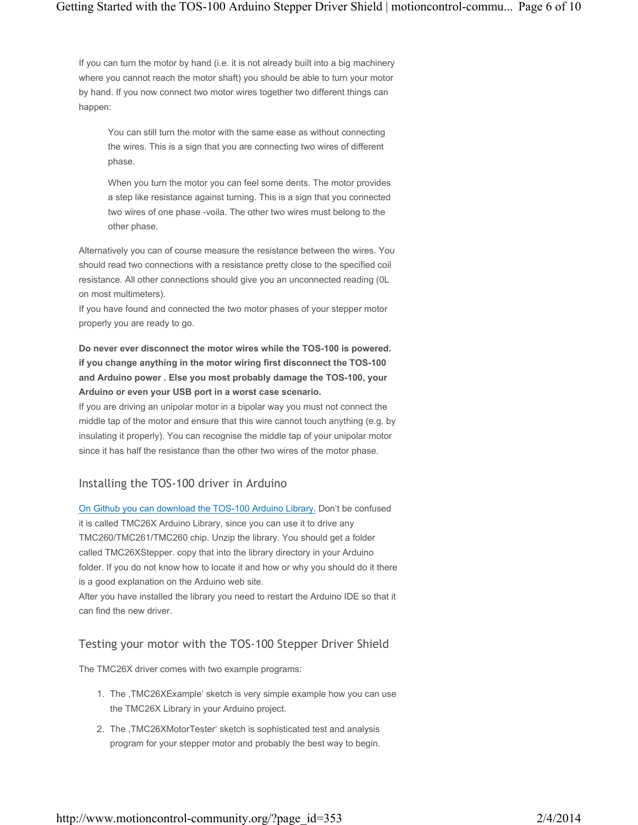If you can turn the motor by hand (i.e. it is not already built into a big machinery where you cannot reach the motor shaft) you should be able to turn your motor by hand. If you now connect two motor wires together two different things can happen:

You can still turn the motor with the same ease as without connecting the wires. This is a sign that you are connecting two wires of different phase.

When you turn the motor you can feel some dents. The motor provides a step like resistance against turning. This is a sign that you connected two wires of one phase -voila. The other two wires must belong to the other phase.

Alternatively you can of course measure the resistance between the wires. You should read two connections with a resistance pretty close to the specified coil resistance. All other connections should give you an unconnected reading (0L on most multimeters).

If you have found and connected the two motor phases of your stepper motor properly you are ready to go.

## **Do never ever disconnect the motor wires while the TOS-100 is powered. if you change anything in the motor wiring first disconnect the TOS-100 and Arduino power . Else you most probably damage the TOS-100, your Arduino or even your USB port in a worst case scenario.**

If you are driving an unipolar motor in a bipolar way you must not connect the middle tap of the motor and ensure that this wire cannot touch anything (e.g. by insulating it properly). You can recognise the middle tap of your unipolar motor since it has half the resistance than the other two wires of the motor phase.

# Installing the TOS-100 driver in Arduino

On Github you can download the TOS-100 Arduino Library. Don't be confused it is called TMC26X Arduino Library, since you can use it to drive any TMC260/TMC261/TMC260 chip. Unzip the library. You should get a folder called TMC26XStepper. copy that into the library directory in your Arduino folder. If you do not know how to locate it and how or why you should do it there is a good explanation on the Arduino web site. After you have installed the library you need to restart the Arduino IDE so that it can find the new driver.

## Testing your motor with the TOS-100 Stepper Driver Shield

The TMC26X driver comes with two example programs:

- 1. The ,TMC26XExample' sketch is very simple example how you can use the TMC26X Library in your Arduino project.
- 2. The ,TMC26XMotorTester' sketch is sophisticated test and analysis program for your stepper motor and probably the best way to begin.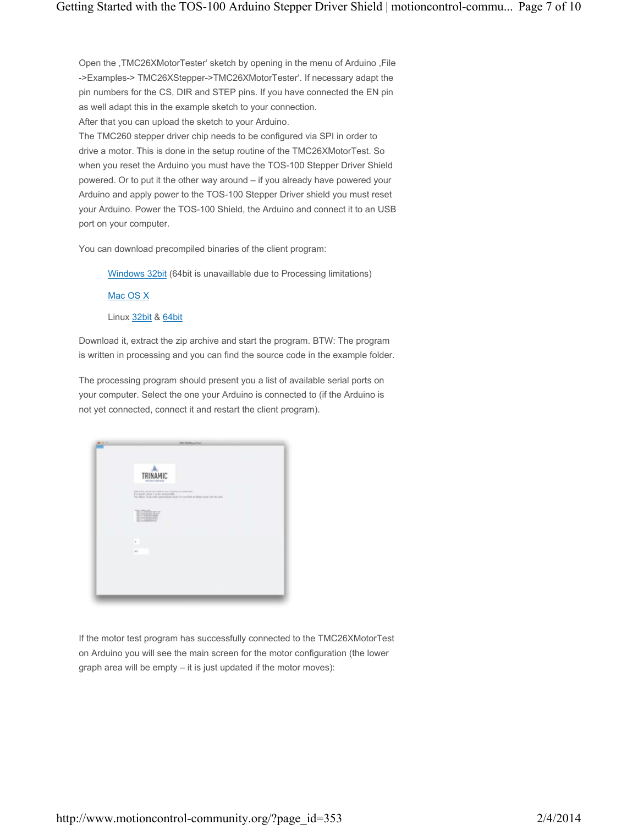Open the ,TMC26XMotorTester' sketch by opening in the menu of Arduino ,File ->Examples-> TMC26XStepper->TMC26XMotorTester'. If necessary adapt the pin numbers for the CS, DIR and STEP pins. If you have connected the EN pin as well adapt this in the example sketch to your connection.

After that you can upload the sketch to your Arduino.

The TMC260 stepper driver chip needs to be configured via SPI in order to drive a motor. This is done in the setup routine of the TMC26XMotorTest. So when you reset the Arduino you must have the TOS-100 Stepper Driver Shield powered. Or to put it the other way around – if you already have powered your Arduino and apply power to the TOS-100 Stepper Driver shield you must reset your Arduino. Power the TOS-100 Shield, the Arduino and connect it to an USB port on your computer.

You can download precompiled binaries of the client program:

Windows 32bit (64bit is unavaillable due to Processing limitations)

Mac OS X

Linux 32bit & 64bit

Download it, extract the zip archive and start the program. BTW: The program is written in processing and you can find the source code in the example folder.

The processing program should present you a list of available serial ports on your computer. Select the one your Arduino is connected to (if the Arduino is not yet connected, connect it and restart the client program).



If the motor test program has successfully connected to the TMC26XMotorTest on Arduino you will see the main screen for the motor configuration (the lower graph area will be empty – it is just updated if the motor moves):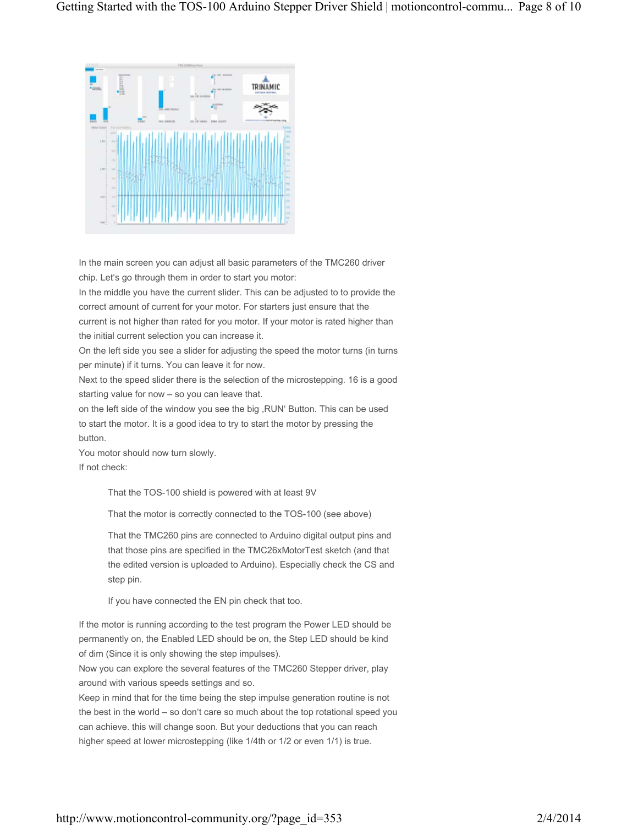

In the main screen you can adjust all basic parameters of the TMC260 driver chip. Let's go through them in order to start you motor:

In the middle you have the current slider. This can be adjusted to to provide the correct amount of current for your motor. For starters just ensure that the current is not higher than rated for you motor. If your motor is rated higher than the initial current selection you can increase it.

On the left side you see a slider for adjusting the speed the motor turns (in turns per minute) if it turns. You can leave it for now.

Next to the speed slider there is the selection of the microstepping. 16 is a good starting value for now – so you can leave that.

on the left side of the window you see the big ,RUN' Button. This can be used to start the motor. It is a good idea to try to start the motor by pressing the button.

You motor should now turn slowly. If not check:

That the TOS-100 shield is powered with at least 9V

That the motor is correctly connected to the TOS-100 (see above)

That the TMC260 pins are connected to Arduino digital output pins and that those pins are specified in the TMC26xMotorTest sketch (and that the edited version is uploaded to Arduino). Especially check the CS and step pin.

If you have connected the EN pin check that too.

If the motor is running according to the test program the Power LED should be permanently on, the Enabled LED should be on, the Step LED should be kind of dim (Since it is only showing the step impulses).

Now you can explore the several features of the TMC260 Stepper driver, play around with various speeds settings and so.

Keep in mind that for the time being the step impulse generation routine is not the best in the world – so don't care so much about the top rotational speed you can achieve. this will change soon. But your deductions that you can reach higher speed at lower microstepping (like 1/4th or 1/2 or even 1/1) is true.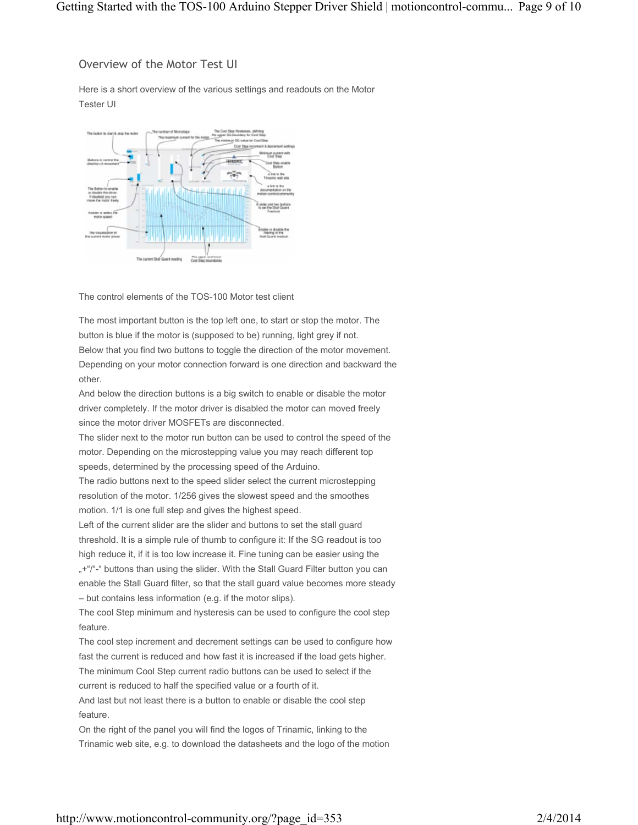## Overview of the Motor Test UI

Here is a short overview of the various settings and readouts on the Motor Tester UI



The control elements of the TOS-100 Motor test client

The most important button is the top left one, to start or stop the motor. The button is blue if the motor is (supposed to be) running, light grey if not. Below that you find two buttons to toggle the direction of the motor movement. Depending on your motor connection forward is one direction and backward the other.

And below the direction buttons is a big switch to enable or disable the motor driver completely. If the motor driver is disabled the motor can moved freely since the motor driver MOSFETs are disconnected.

The slider next to the motor run button can be used to control the speed of the motor. Depending on the microstepping value you may reach different top speeds, determined by the processing speed of the Arduino.

The radio buttons next to the speed slider select the current microstepping resolution of the motor. 1/256 gives the slowest speed and the smoothes motion. 1/1 is one full step and gives the highest speed.

Left of the current slider are the slider and buttons to set the stall guard threshold. It is a simple rule of thumb to configure it: If the SG readout is too high reduce it, if it is too low increase it. Fine tuning can be easier using the "+"/"-" buttons than using the slider. With the Stall Guard Filter button you can enable the Stall Guard filter, so that the stall guard value becomes more steady – but contains less information (e.g. if the motor slips).

The cool Step minimum and hysteresis can be used to configure the cool step feature.

The cool step increment and decrement settings can be used to configure how fast the current is reduced and how fast it is increased if the load gets higher. The minimum Cool Step current radio buttons can be used to select if the current is reduced to half the specified value or a fourth of it. And last but not least there is a button to enable or disable the cool step feature.

On the right of the panel you will find the logos of Trinamic, linking to the Trinamic web site, e.g. to download the datasheets and the logo of the motion